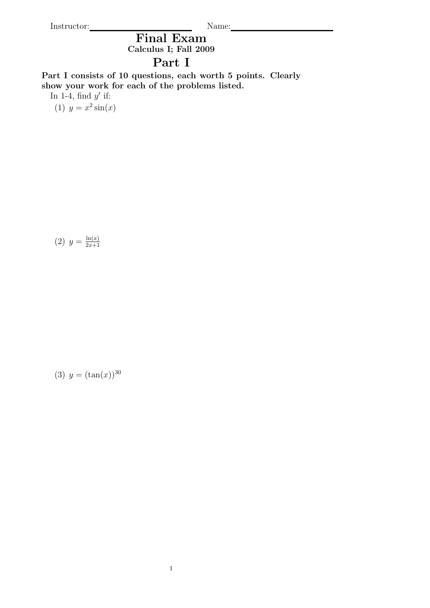Instructor: Name: Name: Name: Name: Name: Name: Name: Name: Name: Name: Name: Name: Name: Name: Name: Name: Name: Name: Name: Name: Name: Name: Name: Name: Name: Name: Name: Name: Name: Name: Name: Name: Name: Name: Name:

Final Exam Calculus I; Fall 2009

## Part I

Part I consists of 10 questions, each worth 5 points. Clearly show your work for each of the problems listed.

In 1-4, find  $y'$  if:

(1)  $y = x^2 \sin(x)$ 

(2) 
$$
y = \frac{\ln(x)}{2x+1}
$$

(3)  $y = (\tan(x))^{30}$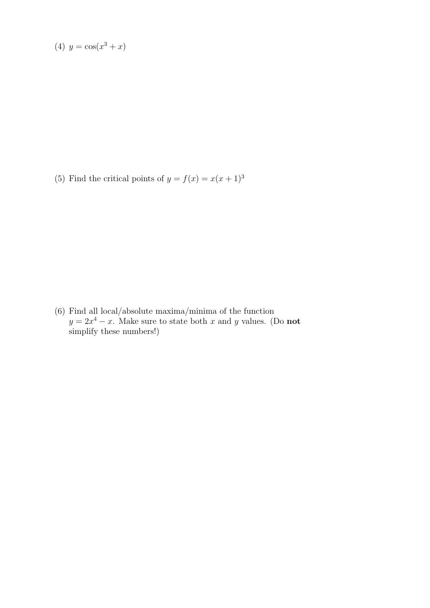(4) 
$$
y = cos(x^3 + x)
$$

(5) Find the critical points of  $y = f(x) = x(x+1)^3$ 

(6) Find all local/absolute maxima/minima of the function  $y = 2x^4 - x$ . Make sure to state both x and y values. (Do not simplify these numbers!)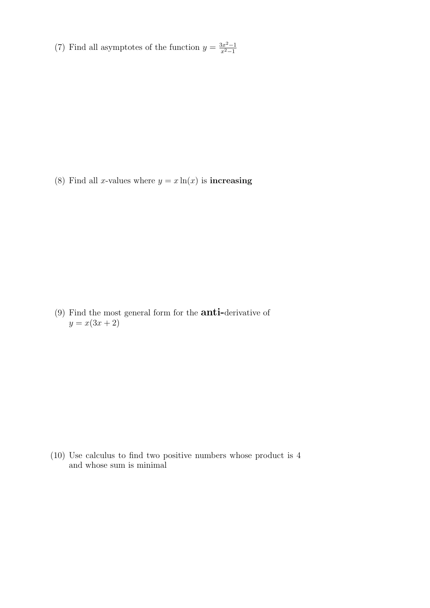(7) Find all asymptotes of the function  $y = \frac{3x^2-1}{x^2-1}$  $x^2-1$ 

(8) Find all *x*-values where  $y = x \ln(x)$  is **increasing** 

(9) Find the most general form for the anti-derivative of  $y = x(3x + 2)$ 

(10) Use calculus to find two positive numbers whose product is 4 and whose sum is minimal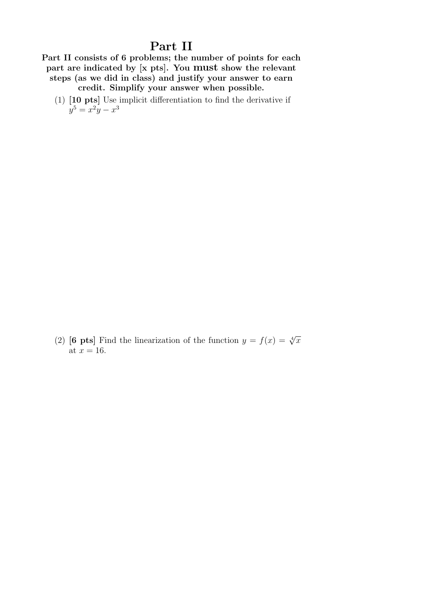## Part II

Part II consists of 6 problems; the number of points for each part are indicated by [x pts]. You must show the relevant steps (as we did in class) and justify your answer to earn credit. Simplify your answer when possible.

(1) [10 pts] Use implicit differentiation to find the derivative if  $y^5 = x^2y - x^3$ 

(2) [6 pts] Find the linearization of the function  $y = f(x) = \sqrt[4]{x}$ at  $x = 16$ .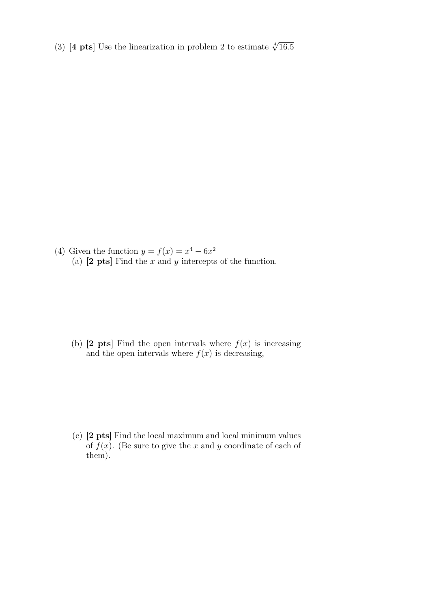(3) [4 pts] Use the linearization in problem 2 to estimate  $\sqrt[4]{16.5}$ 

(4) Given the function  $y = f(x) = x^4 - 6x^2$ (a)  $[2 \text{ pts}]$  Find the x and y intercepts of the function.

(b)  $[2 \text{pts}]$  Find the open intervals where  $f(x)$  is increasing and the open intervals where  $f(x)$  is decreasing,

(c) [2 pts] Find the local maximum and local minimum values of  $f(x)$ . (Be sure to give the x and y coordinate of each of them).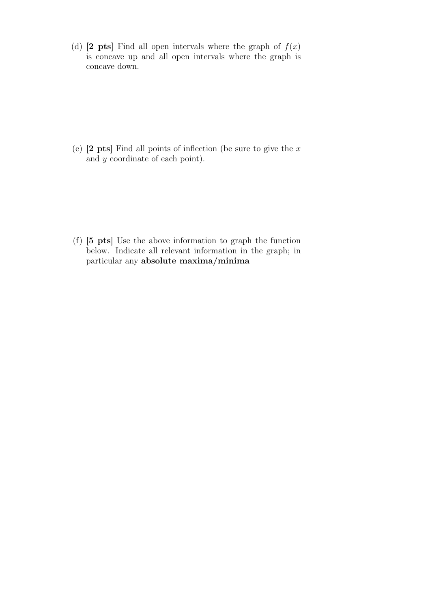(d) [2 pts] Find all open intervals where the graph of  $f(x)$ is concave up and all open intervals where the graph is concave down.

(e)  $[2 \text{ pts}]$  Find all points of inflection (be sure to give the x and y coordinate of each point).

(f) [5 pts] Use the above information to graph the function below. Indicate all relevant information in the graph; in particular any absolute maxima/minima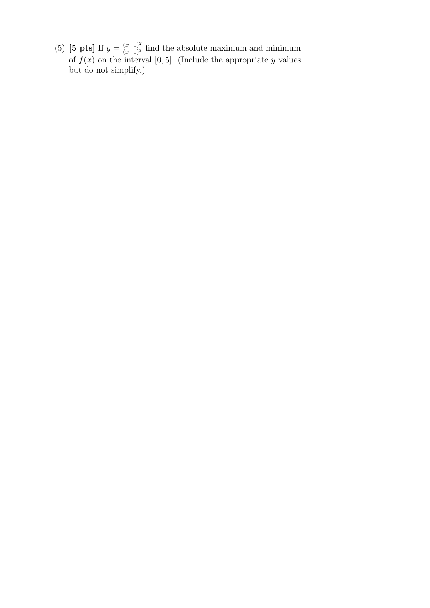(5) [5 pts] If  $y = \frac{(x-1)^2}{(x+1)^3}$  find the absolute maximum and minimum of  $f(x)$  on the interval [0,5]. (Include the appropriate y values but do not simplify.)